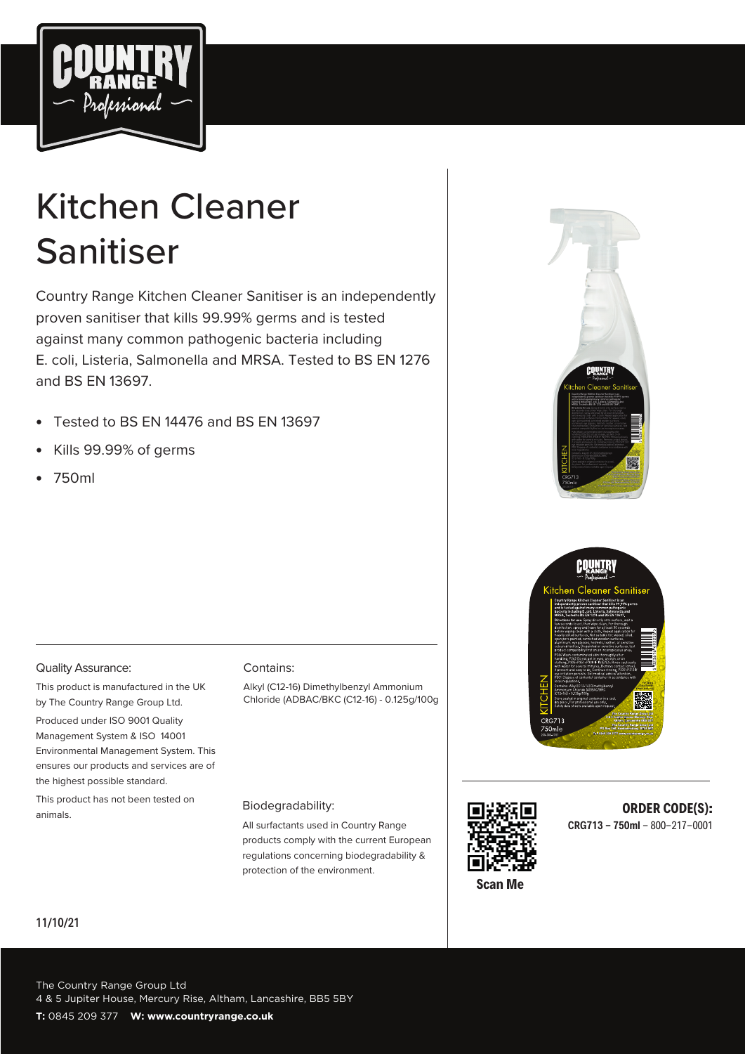

# Kitchen Cleaner Sanitiser

Country Range Kitchen Cleaner Sanitiser is an independently proven sanitiser that kills 99.99% germs and is tested against many common pathogenic bacteria including E. coli, Listeria, Salmonella and MRSA. Tested to BS EN 1276 and BS EN 13697.

- Tested to BS EN 14476 and BS EN 13697
- Kills 99.99% of germs
- 750ml





#### Quality Assurance:

This product is manufactured in the UK by The Country Range Group Ltd.

Produced under ISO 9001 Quality Management System & ISO 14001 Environmental Management System. This ensures our products and services are of the highest possible standard.

This product has not been tested on animals.

#### Contains:

Alkyl (C12-16) Dimethylbenzyl Ammonium Chloride (ADBAC/BKC (C12-16) - 0.125g/100g

#### Biodegradability:

All surfactants used in Country Range products comply with the current European regulations concerning biodegradability & protection of the environment.



#### **ORDER CODE(S): CRG713 - 750ml** - 800-217-0001

#### 11/10/21

The Country Range Group Ltd 4 & 5 Jupiter House, Mercury Rise, Altham, Lancashire, BB5 5BY **T:** 0845 209 377 **W: www.countryrange.co.uk**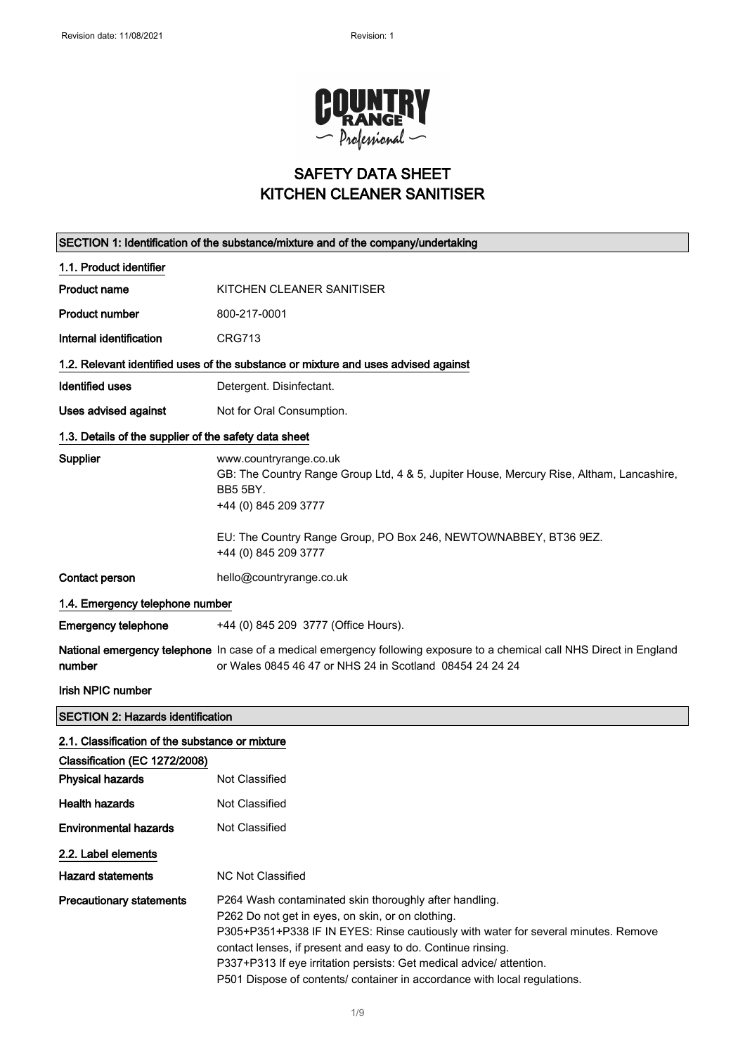

# SAFETY DATA SHEET KITCHEN CLEANER SANITISER

| SECTION 1: Identification of the substance/mixture and of the company/undertaking |                                                                                                                                                                                                                                                                                                                                                                                                                        |  |
|-----------------------------------------------------------------------------------|------------------------------------------------------------------------------------------------------------------------------------------------------------------------------------------------------------------------------------------------------------------------------------------------------------------------------------------------------------------------------------------------------------------------|--|
| 1.1. Product identifier                                                           |                                                                                                                                                                                                                                                                                                                                                                                                                        |  |
| <b>Product name</b>                                                               | KITCHEN CLEANER SANITISER                                                                                                                                                                                                                                                                                                                                                                                              |  |
| <b>Product number</b>                                                             | 800-217-0001                                                                                                                                                                                                                                                                                                                                                                                                           |  |
| Internal identification                                                           | <b>CRG713</b>                                                                                                                                                                                                                                                                                                                                                                                                          |  |
|                                                                                   | 1.2. Relevant identified uses of the substance or mixture and uses advised against                                                                                                                                                                                                                                                                                                                                     |  |
| <b>Identified uses</b>                                                            | Detergent. Disinfectant.                                                                                                                                                                                                                                                                                                                                                                                               |  |
| Uses advised against                                                              | Not for Oral Consumption.                                                                                                                                                                                                                                                                                                                                                                                              |  |
| 1.3. Details of the supplier of the safety data sheet                             |                                                                                                                                                                                                                                                                                                                                                                                                                        |  |
| Supplier                                                                          | www.countryrange.co.uk<br>GB: The Country Range Group Ltd, 4 & 5, Jupiter House, Mercury Rise, Altham, Lancashire,<br><b>BB5 5BY.</b><br>+44 (0) 845 209 3777<br>EU: The Country Range Group, PO Box 246, NEWTOWNABBEY, BT36 9EZ.                                                                                                                                                                                      |  |
|                                                                                   | +44 (0) 845 209 3777                                                                                                                                                                                                                                                                                                                                                                                                   |  |
| Contact person                                                                    | hello@countryrange.co.uk                                                                                                                                                                                                                                                                                                                                                                                               |  |
| 1.4. Emergency telephone number                                                   |                                                                                                                                                                                                                                                                                                                                                                                                                        |  |
| <b>Emergency telephone</b>                                                        | +44 (0) 845 209 3777 (Office Hours).                                                                                                                                                                                                                                                                                                                                                                                   |  |
| number                                                                            | National emergency telephone In case of a medical emergency following exposure to a chemical call NHS Direct in England<br>or Wales 0845 46 47 or NHS 24 in Scotland 08454 24 24 24                                                                                                                                                                                                                                    |  |
| Irish NPIC number                                                                 |                                                                                                                                                                                                                                                                                                                                                                                                                        |  |
| <b>SECTION 2: Hazards identification</b>                                          |                                                                                                                                                                                                                                                                                                                                                                                                                        |  |
| 2.1. Classification of the substance or mixture                                   |                                                                                                                                                                                                                                                                                                                                                                                                                        |  |
| Classification (EC 1272/2008)                                                     |                                                                                                                                                                                                                                                                                                                                                                                                                        |  |
| <b>Physical hazards</b>                                                           | Not Classified                                                                                                                                                                                                                                                                                                                                                                                                         |  |
| <b>Health hazards</b>                                                             | Not Classified                                                                                                                                                                                                                                                                                                                                                                                                         |  |
| <b>Environmental hazards</b>                                                      | Not Classified                                                                                                                                                                                                                                                                                                                                                                                                         |  |
| 2.2. Label elements                                                               |                                                                                                                                                                                                                                                                                                                                                                                                                        |  |
| <b>Hazard statements</b>                                                          | NC Not Classified                                                                                                                                                                                                                                                                                                                                                                                                      |  |
| <b>Precautionary statements</b>                                                   | P264 Wash contaminated skin thoroughly after handling.<br>P262 Do not get in eyes, on skin, or on clothing.<br>P305+P351+P338 IF IN EYES: Rinse cautiously with water for several minutes. Remove<br>contact lenses, if present and easy to do. Continue rinsing.<br>P337+P313 If eye irritation persists: Get medical advice/ attention.<br>P501 Dispose of contents/ container in accordance with local regulations. |  |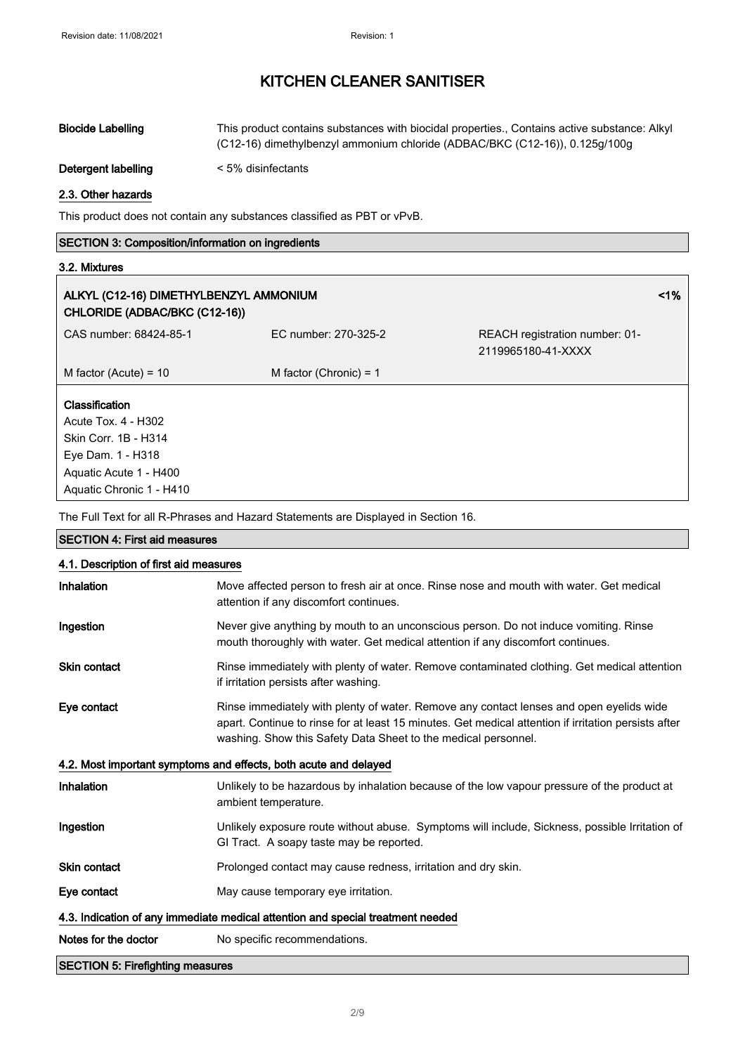| <b>Biocide Labelling</b> | This product contains substances with biocidal properties., Contains active substance: Alkyl<br>$(C12-16)$ dimethylbenzyl ammonium chloride (ADBAC/BKC $(C12-16)$ ), 0.125q/100q |
|--------------------------|----------------------------------------------------------------------------------------------------------------------------------------------------------------------------------|
| Detergent labelling      | < 5% disinfectants                                                                                                                                                               |

#### 2.3. Other hazards

This product does not contain any substances classified as PBT or vPvB.

#### SECTION 3: Composition/information on ingredients

#### 3.2. Mixtures

| ALKYL (C12-16) DIMETHYLBENZYL AMMONIUM<br>CHLORIDE (ADBAC/BKC (C12-16)) |                          |                                                      | $1\%$ |
|-------------------------------------------------------------------------|--------------------------|------------------------------------------------------|-------|
| CAS number: 68424-85-1                                                  | EC number: 270-325-2     | REACH registration number: 01-<br>2119965180-41-XXXX |       |
| M factor (Acute) = $10$                                                 | M factor (Chronic) = $1$ |                                                      |       |
| <b>Classification</b><br>Acute Tox. 4 - H302                            |                          |                                                      |       |
| Skin Corr. 1B - H314                                                    |                          |                                                      |       |
| Eye Dam. 1 - H318                                                       |                          |                                                      |       |
| Aquatic Acute 1 - H400                                                  |                          |                                                      |       |
| Aquatic Chronic 1 - H410                                                |                          |                                                      |       |

The Full Text for all R-Phrases and Hazard Statements are Displayed in Section 16.

| <b>SECTION 4: First aid measures</b>                                            |                                                                                                                                                                                                                                                                   |  |
|---------------------------------------------------------------------------------|-------------------------------------------------------------------------------------------------------------------------------------------------------------------------------------------------------------------------------------------------------------------|--|
| 4.1. Description of first aid measures                                          |                                                                                                                                                                                                                                                                   |  |
| Inhalation                                                                      | Move affected person to fresh air at once. Rinse nose and mouth with water. Get medical<br>attention if any discomfort continues.                                                                                                                                 |  |
| Ingestion                                                                       | Never give anything by mouth to an unconscious person. Do not induce vomiting. Rinse<br>mouth thoroughly with water. Get medical attention if any discomfort continues.                                                                                           |  |
| <b>Skin contact</b>                                                             | Rinse immediately with plenty of water. Remove contaminated clothing. Get medical attention<br>if irritation persists after washing.                                                                                                                              |  |
| Eye contact                                                                     | Rinse immediately with plenty of water. Remove any contact lenses and open eyelids wide<br>apart. Continue to rinse for at least 15 minutes. Get medical attention if irritation persists after<br>washing. Show this Safety Data Sheet to the medical personnel. |  |
|                                                                                 | 4.2. Most important symptoms and effects, both acute and delayed                                                                                                                                                                                                  |  |
| Inhalation                                                                      | Unlikely to be hazardous by inhalation because of the low vapour pressure of the product at<br>ambient temperature.                                                                                                                                               |  |
| Ingestion                                                                       | Unlikely exposure route without abuse. Symptoms will include, Sickness, possible Irritation of<br>GI Tract. A soapy taste may be reported.                                                                                                                        |  |
| <b>Skin contact</b>                                                             | Prolonged contact may cause redness, irritation and dry skin.                                                                                                                                                                                                     |  |
| Eye contact                                                                     | May cause temporary eye irritation.                                                                                                                                                                                                                               |  |
| 4.3. Indication of any immediate medical attention and special treatment needed |                                                                                                                                                                                                                                                                   |  |
| Notes for the doctor                                                            | No specific recommendations.                                                                                                                                                                                                                                      |  |
| <b>SECTION 5: Firefighting measures</b>                                         |                                                                                                                                                                                                                                                                   |  |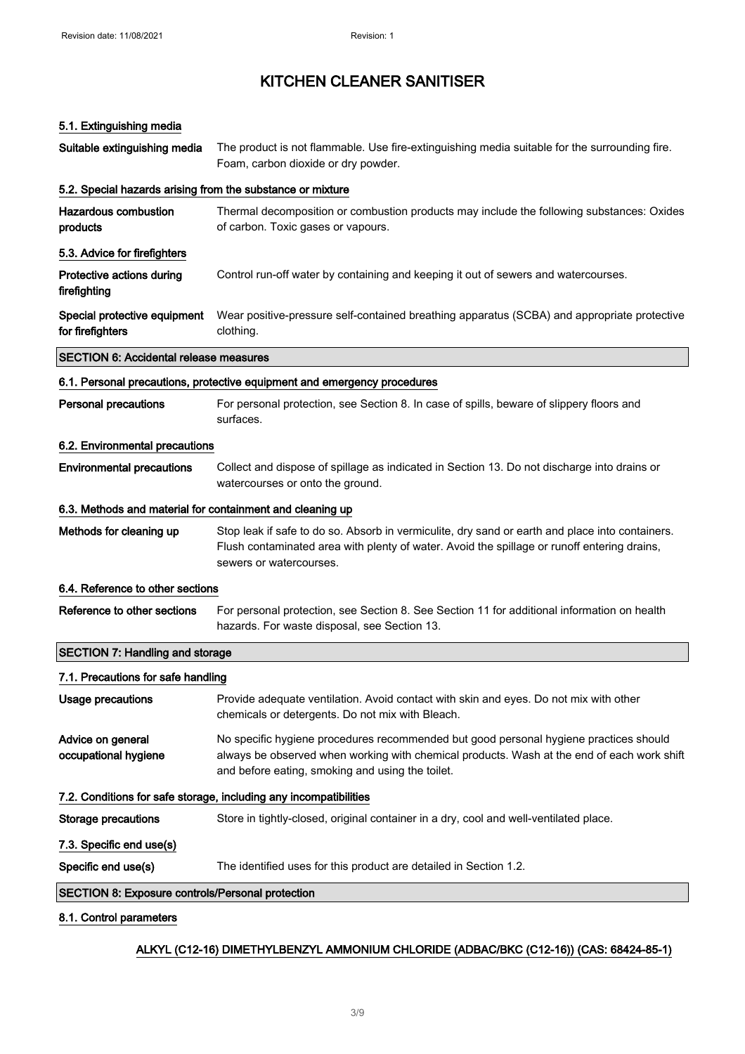#### 5.1. Extinguishing media

| Suitable extinguishing media                               | The product is not flammable. Use fire-extinguishing media suitable for the surrounding fire.<br>Foam, carbon dioxide or dry powder.                                                                                                    |
|------------------------------------------------------------|-----------------------------------------------------------------------------------------------------------------------------------------------------------------------------------------------------------------------------------------|
| 5.2. Special hazards arising from the substance or mixture |                                                                                                                                                                                                                                         |
| <b>Hazardous combustion</b><br>products                    | Thermal decomposition or combustion products may include the following substances: Oxides<br>of carbon. Toxic gases or vapours.                                                                                                         |
| 5.3. Advice for firefighters                               |                                                                                                                                                                                                                                         |
| Protective actions during<br>firefighting                  | Control run-off water by containing and keeping it out of sewers and watercourses.                                                                                                                                                      |
| Special protective equipment<br>for firefighters           | Wear positive-pressure self-contained breathing apparatus (SCBA) and appropriate protective<br>clothing.                                                                                                                                |
| <b>SECTION 6: Accidental release measures</b>              |                                                                                                                                                                                                                                         |
|                                                            | 6.1. Personal precautions, protective equipment and emergency procedures                                                                                                                                                                |
| <b>Personal precautions</b>                                | For personal protection, see Section 8. In case of spills, beware of slippery floors and<br>surfaces.                                                                                                                                   |
| 6.2. Environmental precautions                             |                                                                                                                                                                                                                                         |
| <b>Environmental precautions</b>                           | Collect and dispose of spillage as indicated in Section 13. Do not discharge into drains or<br>watercourses or onto the ground.                                                                                                         |
| 6.3. Methods and material for containment and cleaning up  |                                                                                                                                                                                                                                         |
| Methods for cleaning up                                    | Stop leak if safe to do so. Absorb in vermiculite, dry sand or earth and place into containers.<br>Flush contaminated area with plenty of water. Avoid the spillage or runoff entering drains,<br>sewers or watercourses.               |
| 6.4. Reference to other sections                           |                                                                                                                                                                                                                                         |
| Reference to other sections                                | For personal protection, see Section 8. See Section 11 for additional information on health<br>hazards. For waste disposal, see Section 13.                                                                                             |
| <b>SECTION 7: Handling and storage</b>                     |                                                                                                                                                                                                                                         |
| 7.1. Precautions for safe handling                         |                                                                                                                                                                                                                                         |
| Usage precautions                                          | Provide adequate ventilation. Avoid contact with skin and eyes. Do not mix with other<br>chemicals or detergents. Do not mix with Bleach.                                                                                               |
| Advice on general<br>occupational hygiene                  | No specific hygiene procedures recommended but good personal hygiene practices should<br>always be observed when working with chemical products. Wash at the end of each work shift<br>and before eating, smoking and using the toilet. |
|                                                            | 7.2. Conditions for safe storage, including any incompatibilities                                                                                                                                                                       |
| <b>Storage precautions</b>                                 | Store in tightly-closed, original container in a dry, cool and well-ventilated place.                                                                                                                                                   |
| 7.3. Specific end use(s)                                   |                                                                                                                                                                                                                                         |
| Specific end use(s)                                        | The identified uses for this product are detailed in Section 1.2.                                                                                                                                                                       |
| <b>SECTION 8: Exposure controls/Personal protection</b>    |                                                                                                                                                                                                                                         |
| 8.1. Control parameters                                    |                                                                                                                                                                                                                                         |

#### ALKYL (C12-16) DIMETHYLBENZYL AMMONIUM CHLORIDE (ADBAC/BKC (C12-16)) (CAS: 68424-85-1)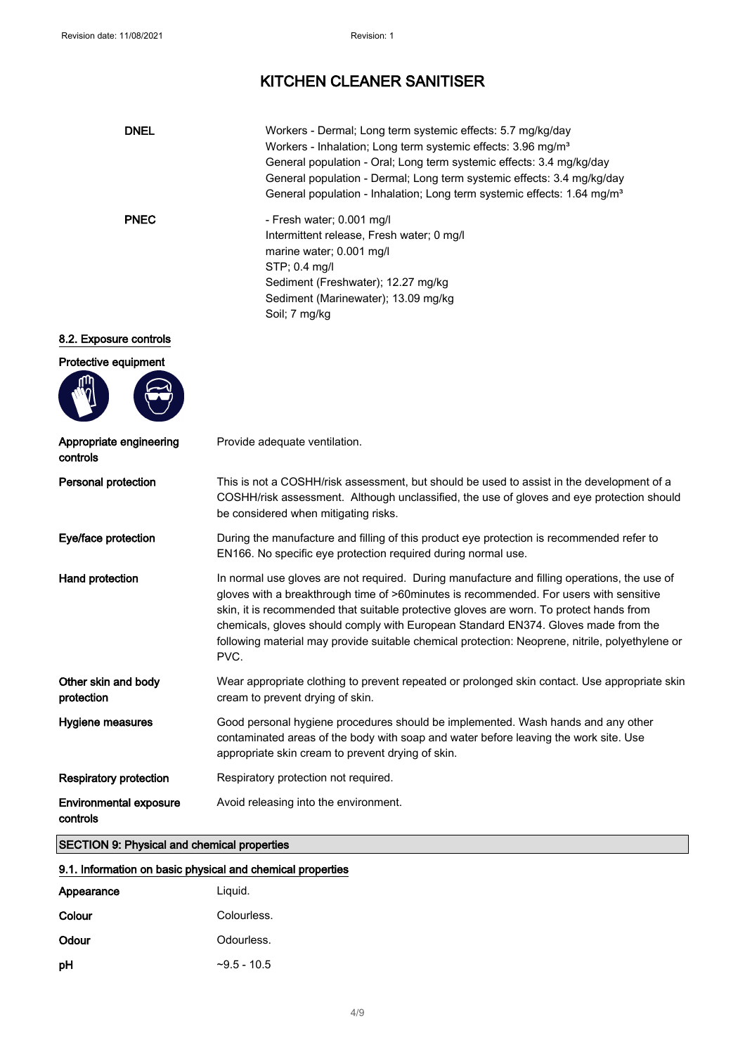| <b>DNEL</b>                                            | Workers - Dermal; Long term systemic effects: 5.7 mg/kg/day<br>Workers - Inhalation; Long term systemic effects: 3.96 mg/m <sup>3</sup><br>General population - Oral; Long term systemic effects: 3.4 mg/kg/day<br>General population - Dermal; Long term systemic effects: 3.4 mg/kg/day<br>General population - Inhalation; Long term systemic effects: 1.64 mg/m <sup>3</sup>                                                                                                   |
|--------------------------------------------------------|------------------------------------------------------------------------------------------------------------------------------------------------------------------------------------------------------------------------------------------------------------------------------------------------------------------------------------------------------------------------------------------------------------------------------------------------------------------------------------|
| <b>PNEC</b>                                            | - Fresh water; 0.001 mg/l<br>Intermittent release, Fresh water; 0 mg/l<br>marine water; 0.001 mg/l<br>STP; 0.4 mg/l<br>Sediment (Freshwater); 12.27 mg/kg<br>Sediment (Marinewater); 13.09 mg/kg<br>Soil; 7 mg/kg                                                                                                                                                                                                                                                                  |
| 8.2. Exposure controls<br>Protective equipment         |                                                                                                                                                                                                                                                                                                                                                                                                                                                                                    |
| Appropriate engineering<br>controls                    | Provide adequate ventilation.                                                                                                                                                                                                                                                                                                                                                                                                                                                      |
| Personal protection                                    | This is not a COSHH/risk assessment, but should be used to assist in the development of a<br>COSHH/risk assessment. Although unclassified, the use of gloves and eye protection should<br>be considered when mitigating risks.                                                                                                                                                                                                                                                     |
| Eye/face protection                                    | During the manufacture and filling of this product eye protection is recommended refer to<br>EN166. No specific eye protection required during normal use.                                                                                                                                                                                                                                                                                                                         |
| Hand protection                                        | In normal use gloves are not required. During manufacture and filling operations, the use of<br>gloves with a breakthrough time of >60minutes is recommended. For users with sensitive<br>skin, it is recommended that suitable protective gloves are worn. To protect hands from<br>chemicals, gloves should comply with European Standard EN374. Gloves made from the<br>following material may provide suitable chemical protection: Neoprene, nitrile, polyethylene or<br>PVC. |
| Other skin and body<br>protection                      | Wear appropriate clothing to prevent repeated or prolonged skin contact. Use appropriate skin<br>cream to prevent drying of skin.                                                                                                                                                                                                                                                                                                                                                  |
| Hygiene measures                                       | Good personal hygiene procedures should be implemented. Wash hands and any other<br>contaminated areas of the body with soap and water before leaving the work site. Use<br>appropriate skin cream to prevent drying of skin.                                                                                                                                                                                                                                                      |
| <b>Respiratory protection</b>                          | Respiratory protection not required.                                                                                                                                                                                                                                                                                                                                                                                                                                               |
| <b>Environmental exposure</b><br>controls<br>OPTOTONLO | Avoid releasing into the environment.                                                                                                                                                                                                                                                                                                                                                                                                                                              |

#### SECTION 9: Physical and chemical properties

#### 9.1. Information on basic physical and chemical properties

| Appearance | Liguid.       |
|------------|---------------|
| Colour     | Colourless.   |
| Odour      | Odourless.    |
| рH         | $-9.5 - 10.5$ |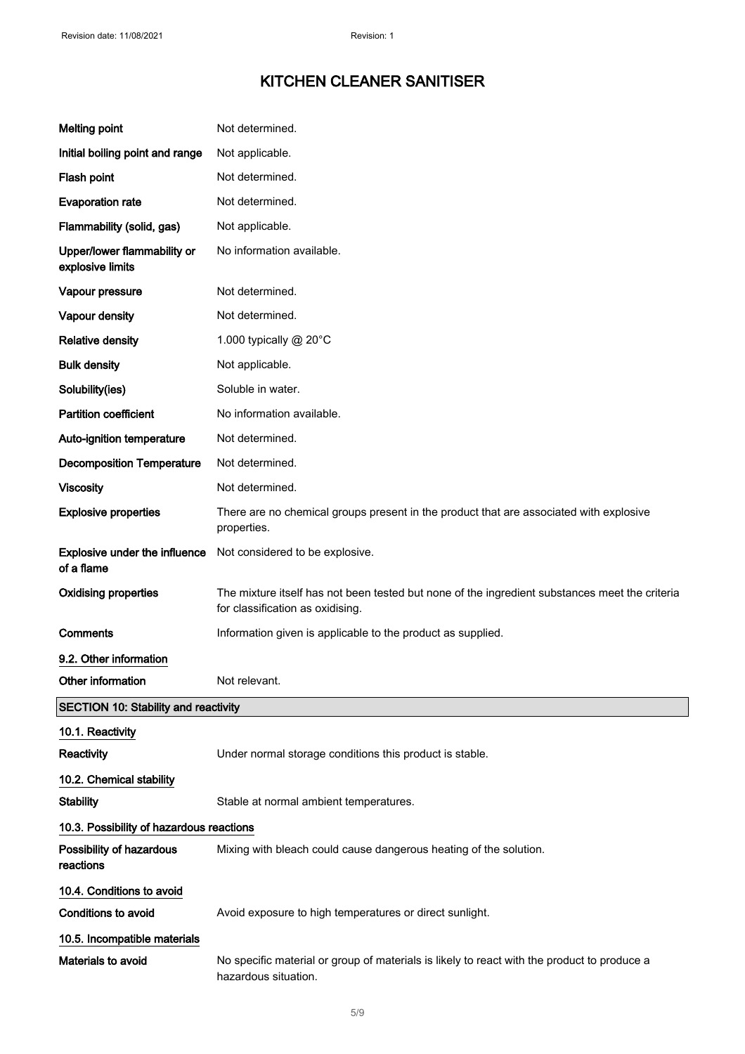| <b>Melting point</b>                            | Not determined.                                                                                                                    |
|-------------------------------------------------|------------------------------------------------------------------------------------------------------------------------------------|
| Initial boiling point and range                 | Not applicable.                                                                                                                    |
| Flash point                                     | Not determined.                                                                                                                    |
| <b>Evaporation rate</b>                         | Not determined.                                                                                                                    |
| Flammability (solid, gas)                       | Not applicable.                                                                                                                    |
| Upper/lower flammability or<br>explosive limits | No information available.                                                                                                          |
| Vapour pressure                                 | Not determined.                                                                                                                    |
| Vapour density                                  | Not determined.                                                                                                                    |
| <b>Relative density</b>                         | 1.000 typically @ 20°C                                                                                                             |
| <b>Bulk density</b>                             | Not applicable.                                                                                                                    |
| Solubility(ies)                                 | Soluble in water.                                                                                                                  |
| <b>Partition coefficient</b>                    | No information available.                                                                                                          |
| Auto-ignition temperature                       | Not determined.                                                                                                                    |
| <b>Decomposition Temperature</b>                | Not determined.                                                                                                                    |
| <b>Viscosity</b>                                | Not determined.                                                                                                                    |
| <b>Explosive properties</b>                     | There are no chemical groups present in the product that are associated with explosive<br>properties.                              |
| Explosive under the influence<br>of a flame     | Not considered to be explosive.                                                                                                    |
| <b>Oxidising properties</b>                     | The mixture itself has not been tested but none of the ingredient substances meet the criteria<br>for classification as oxidising. |
| Comments                                        | Information given is applicable to the product as supplied.                                                                        |
| 9.2. Other information                          |                                                                                                                                    |
| Other information                               | Not relevant.                                                                                                                      |
| <b>SECTION 10: Stability and reactivity</b>     |                                                                                                                                    |
| 10.1. Reactivity                                |                                                                                                                                    |
| Reactivity                                      | Under normal storage conditions this product is stable.                                                                            |
| 10.2. Chemical stability                        |                                                                                                                                    |
| <b>Stability</b>                                | Stable at normal ambient temperatures.                                                                                             |
| 10.3. Possibility of hazardous reactions        |                                                                                                                                    |
| Possibility of hazardous<br>reactions           | Mixing with bleach could cause dangerous heating of the solution.                                                                  |
| 10.4. Conditions to avoid                       |                                                                                                                                    |
| <b>Conditions to avoid</b>                      | Avoid exposure to high temperatures or direct sunlight.                                                                            |
| 10.5. Incompatible materials                    |                                                                                                                                    |
| Materials to avoid                              | No specific material or group of materials is likely to react with the product to produce a<br>hazardous situation.                |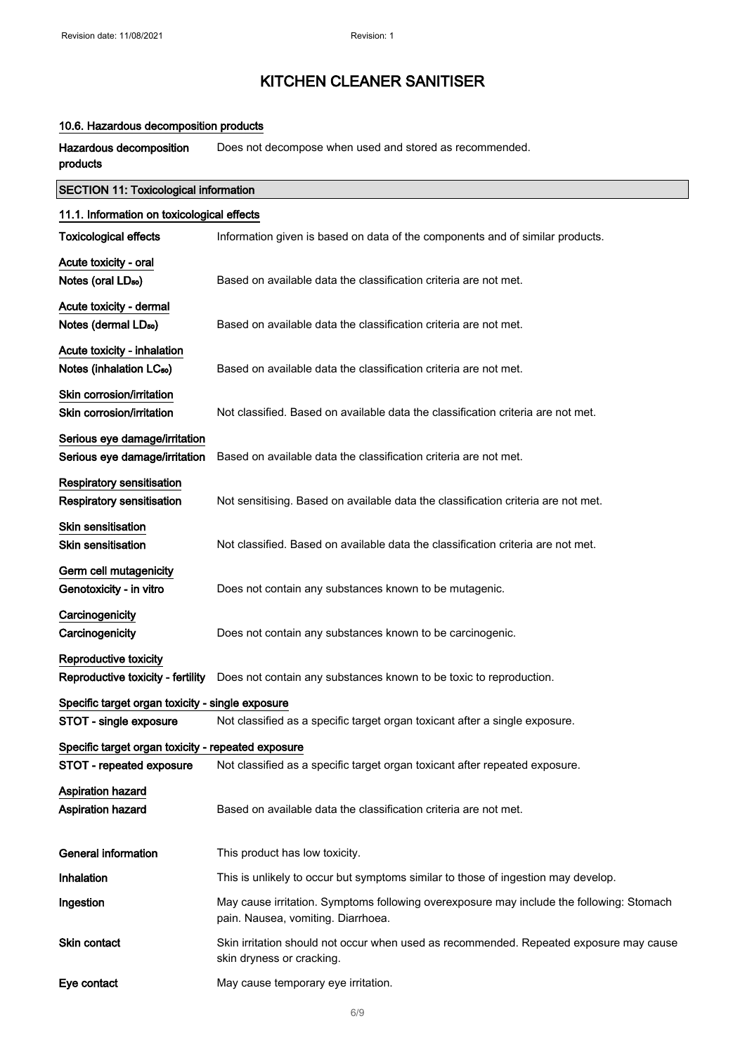#### 10.6. Hazardous decomposition products

Hazardous decomposition products Does not decompose when used and stored as recommended.

| <b>SECTION 11: Toxicological information</b>                        |                                                                                                                                |  |
|---------------------------------------------------------------------|--------------------------------------------------------------------------------------------------------------------------------|--|
| 11.1. Information on toxicological effects                          |                                                                                                                                |  |
| <b>Toxicological effects</b>                                        | Information given is based on data of the components and of similar products.                                                  |  |
| Acute toxicity - oral<br>Notes (oral LD <sub>50</sub> )             | Based on available data the classification criteria are not met.                                                               |  |
| Acute toxicity - dermal<br>Notes (dermal LD <sub>50</sub> )         | Based on available data the classification criteria are not met.                                                               |  |
| Acute toxicity - inhalation<br>Notes (inhalation LC <sub>50</sub> ) | Based on available data the classification criteria are not met.                                                               |  |
| Skin corrosion/irritation<br>Skin corrosion/irritation              | Not classified. Based on available data the classification criteria are not met.                                               |  |
| Serious eye damage/irritation<br>Serious eye damage/irritation      | Based on available data the classification criteria are not met.                                                               |  |
| <b>Respiratory sensitisation</b><br>Respiratory sensitisation       | Not sensitising. Based on available data the classification criteria are not met.                                              |  |
| <b>Skin sensitisation</b><br><b>Skin sensitisation</b>              | Not classified. Based on available data the classification criteria are not met.                                               |  |
| Germ cell mutagenicity<br>Genotoxicity - in vitro                   | Does not contain any substances known to be mutagenic.                                                                         |  |
| Carcinogenicity<br>Carcinogenicity                                  | Does not contain any substances known to be carcinogenic.                                                                      |  |
| Reproductive toxicity<br>Reproductive toxicity - fertility          | Does not contain any substances known to be toxic to reproduction.                                                             |  |
| Specific target organ toxicity - single exposure                    |                                                                                                                                |  |
| STOT - single exposure                                              | Not classified as a specific target organ toxicant after a single exposure.                                                    |  |
| Specific target organ toxicity - repeated exposure                  |                                                                                                                                |  |
| STOT - repeated exposure                                            | Not classified as a specific target organ toxicant after repeated exposure.                                                    |  |
| Aspiration hazard<br>Aspiration hazard                              | Based on available data the classification criteria are not met.                                                               |  |
| General information                                                 | This product has low toxicity.                                                                                                 |  |
| <b>Inhalation</b>                                                   | This is unlikely to occur but symptoms similar to those of ingestion may develop.                                              |  |
| Ingestion                                                           | May cause irritation. Symptoms following overexposure may include the following: Stomach<br>pain. Nausea, vomiting. Diarrhoea. |  |
| <b>Skin contact</b>                                                 | Skin irritation should not occur when used as recommended. Repeated exposure may cause<br>skin dryness or cracking.            |  |
| Eye contact                                                         | May cause temporary eye irritation.                                                                                            |  |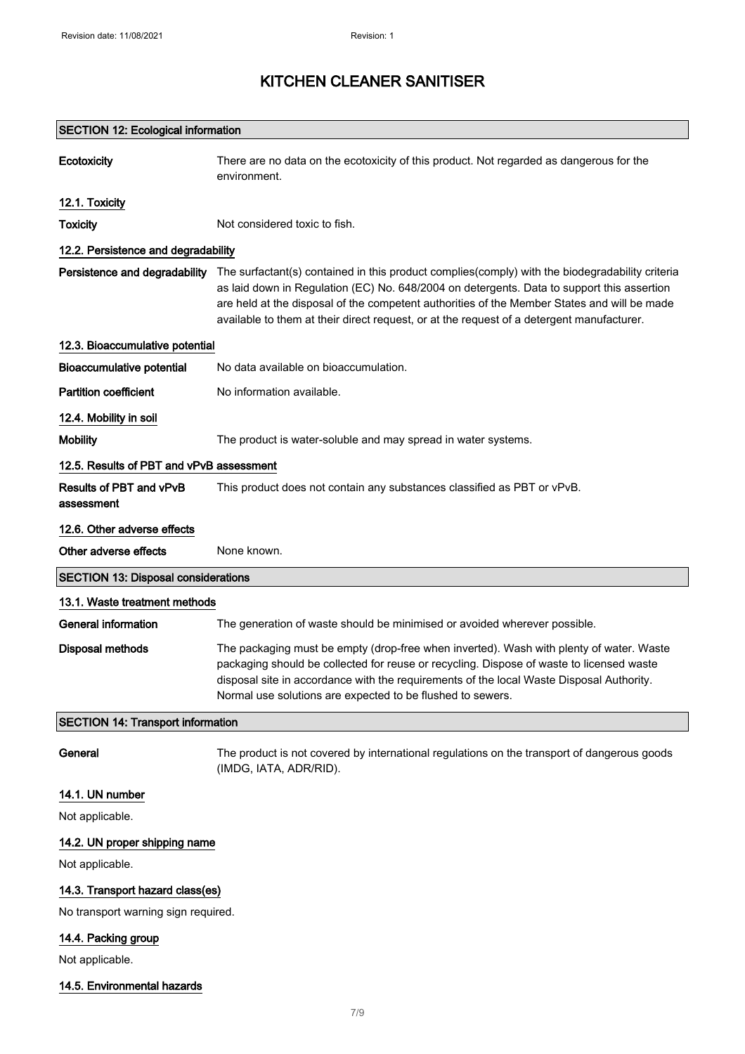| <b>SECTION 12: Ecological information</b>  |                                                                                                                                                                                                                                                                                                                                                                                           |  |
|--------------------------------------------|-------------------------------------------------------------------------------------------------------------------------------------------------------------------------------------------------------------------------------------------------------------------------------------------------------------------------------------------------------------------------------------------|--|
| <b>Ecotoxicity</b>                         | There are no data on the ecotoxicity of this product. Not regarded as dangerous for the<br>environment.                                                                                                                                                                                                                                                                                   |  |
| 12.1. Toxicity                             |                                                                                                                                                                                                                                                                                                                                                                                           |  |
| <b>Toxicity</b>                            | Not considered toxic to fish.                                                                                                                                                                                                                                                                                                                                                             |  |
| 12.2. Persistence and degradability        |                                                                                                                                                                                                                                                                                                                                                                                           |  |
| Persistence and degradability              | The surfactant(s) contained in this product complies(comply) with the biodegradability criteria<br>as laid down in Regulation (EC) No. 648/2004 on detergents. Data to support this assertion<br>are held at the disposal of the competent authorities of the Member States and will be made<br>available to them at their direct request, or at the request of a detergent manufacturer. |  |
| 12.3. Bioaccumulative potential            |                                                                                                                                                                                                                                                                                                                                                                                           |  |
| Bioaccumulative potential                  | No data available on bioaccumulation.                                                                                                                                                                                                                                                                                                                                                     |  |
| <b>Partition coefficient</b>               | No information available.                                                                                                                                                                                                                                                                                                                                                                 |  |
| 12.4. Mobility in soil                     |                                                                                                                                                                                                                                                                                                                                                                                           |  |
| <b>Mobility</b>                            | The product is water-soluble and may spread in water systems.                                                                                                                                                                                                                                                                                                                             |  |
| 12.5. Results of PBT and vPvB assessment   |                                                                                                                                                                                                                                                                                                                                                                                           |  |
| Results of PBT and vPvB<br>assessment      | This product does not contain any substances classified as PBT or vPvB.                                                                                                                                                                                                                                                                                                                   |  |
| 12.6. Other adverse effects                |                                                                                                                                                                                                                                                                                                                                                                                           |  |
| Other adverse effects                      | None known.                                                                                                                                                                                                                                                                                                                                                                               |  |
| <b>SECTION 13: Disposal considerations</b> |                                                                                                                                                                                                                                                                                                                                                                                           |  |
| 13.1. Waste treatment methods              |                                                                                                                                                                                                                                                                                                                                                                                           |  |
| General information                        | The generation of waste should be minimised or avoided wherever possible.                                                                                                                                                                                                                                                                                                                 |  |
| <b>Disposal methods</b>                    | The packaging must be empty (drop-free when inverted). Wash with plenty of water. Waste<br>packaging should be collected for reuse or recycling. Dispose of waste to licensed waste<br>disposal site in accordance with the requirements of the local Waste Disposal Authority.<br>Normal use solutions are expected to be flushed to sewers.                                             |  |
| <b>SECTION 14: Transport information</b>   |                                                                                                                                                                                                                                                                                                                                                                                           |  |
| General                                    | The product is not covered by international regulations on the transport of dangerous goods<br>(IMDG, IATA, ADR/RID).                                                                                                                                                                                                                                                                     |  |
| 14.1. UN number                            |                                                                                                                                                                                                                                                                                                                                                                                           |  |
| Not applicable.                            |                                                                                                                                                                                                                                                                                                                                                                                           |  |
| 14.2. UN proper shipping name              |                                                                                                                                                                                                                                                                                                                                                                                           |  |
| Not applicable.                            |                                                                                                                                                                                                                                                                                                                                                                                           |  |
| 14.3. Transport hazard class(es)           |                                                                                                                                                                                                                                                                                                                                                                                           |  |
| No transport warning sign required.        |                                                                                                                                                                                                                                                                                                                                                                                           |  |
| 14.4. Packing group                        |                                                                                                                                                                                                                                                                                                                                                                                           |  |

Not applicable.

#### 14.5. Environmental hazards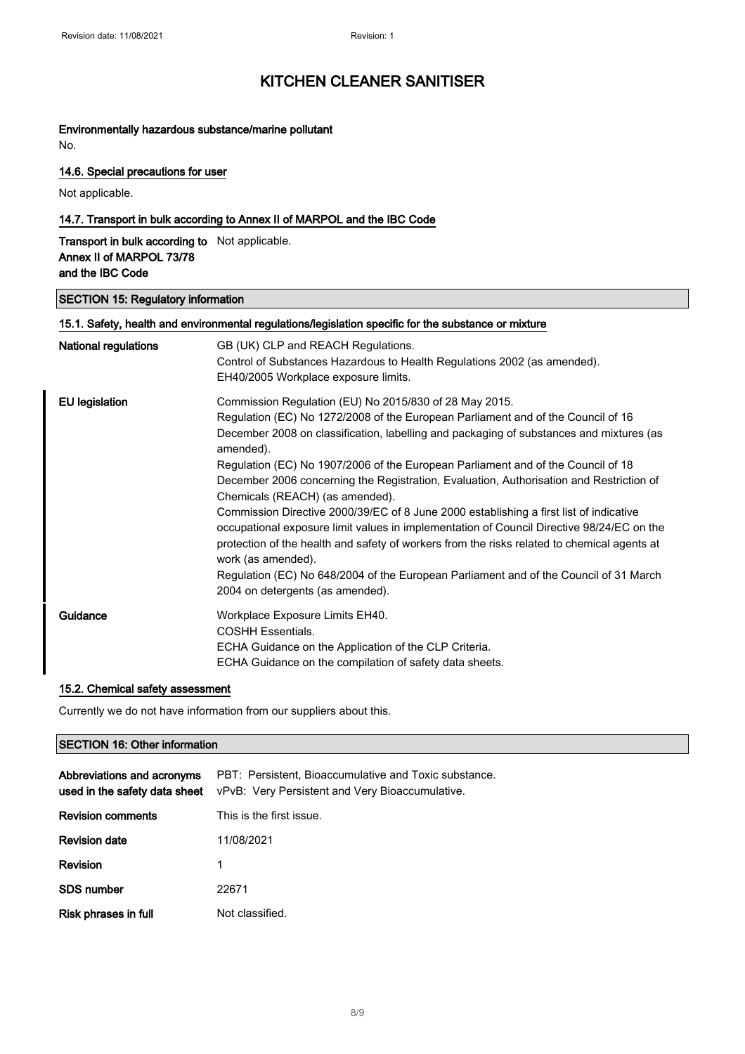## Environmentally hazardous substance/marine pollutant

No.

#### 14.6. Special precautions for user

Not applicable.

#### 14.7. Transport in bulk according to Annex II of MARPOL and the IBC Code

Transport in bulk according to Not applicable. Annex II of MARPOL 73/78 and the IBC Code

#### SECTION 15: Regulatory information

| <b>National regulations</b> | GB (UK) CLP and REACH Regulations.                                                                                                                                                                                                                                                 |
|-----------------------------|------------------------------------------------------------------------------------------------------------------------------------------------------------------------------------------------------------------------------------------------------------------------------------|
|                             |                                                                                                                                                                                                                                                                                    |
|                             | Control of Substances Hazardous to Health Regulations 2002 (as amended).                                                                                                                                                                                                           |
|                             | EH40/2005 Workplace exposure limits.                                                                                                                                                                                                                                               |
| EU legislation              | Commission Regulation (EU) No 2015/830 of 28 May 2015.                                                                                                                                                                                                                             |
|                             | Regulation (EC) No 1272/2008 of the European Parliament and of the Council of 16                                                                                                                                                                                                   |
|                             | December 2008 on classification, labelling and packaging of substances and mixtures (as<br>amended).                                                                                                                                                                               |
|                             | Regulation (EC) No 1907/2006 of the European Parliament and of the Council of 18                                                                                                                                                                                                   |
|                             | December 2006 concerning the Registration, Evaluation, Authorisation and Restriction of<br>Chemicals (REACH) (as amended).                                                                                                                                                         |
|                             | Commission Directive 2000/39/EC of 8 June 2000 establishing a first list of indicative<br>occupational exposure limit values in implementation of Council Directive 98/24/EC on the<br>protection of the health and safety of workers from the risks related to chemical agents at |
|                             | work (as amended).                                                                                                                                                                                                                                                                 |
|                             | Regulation (EC) No 648/2004 of the European Parliament and of the Council of 31 March<br>2004 on detergents (as amended).                                                                                                                                                          |
| Guidance                    | Workplace Exposure Limits EH40.<br><b>COSHH Essentials.</b>                                                                                                                                                                                                                        |
|                             | ECHA Guidance on the Application of the CLP Criteria.                                                                                                                                                                                                                              |
|                             | ECHA Guidance on the compilation of safety data sheets.                                                                                                                                                                                                                            |

#### 15.2. Chemical safety assessment

Currently we do not have information from our suppliers about this.

#### SECTION 16: Other information

| Abbreviations and acronyms<br>used in the safety data sheet | PBT: Persistent, Bioaccumulative and Toxic substance.<br>vPvB: Very Persistent and Very Bioaccumulative. |
|-------------------------------------------------------------|----------------------------------------------------------------------------------------------------------|
| <b>Revision comments</b>                                    | This is the first issue.                                                                                 |
| <b>Revision date</b>                                        | 11/08/2021                                                                                               |
| Revision                                                    |                                                                                                          |
| <b>SDS number</b>                                           | 22671                                                                                                    |
| Risk phrases in full                                        | Not classified.                                                                                          |